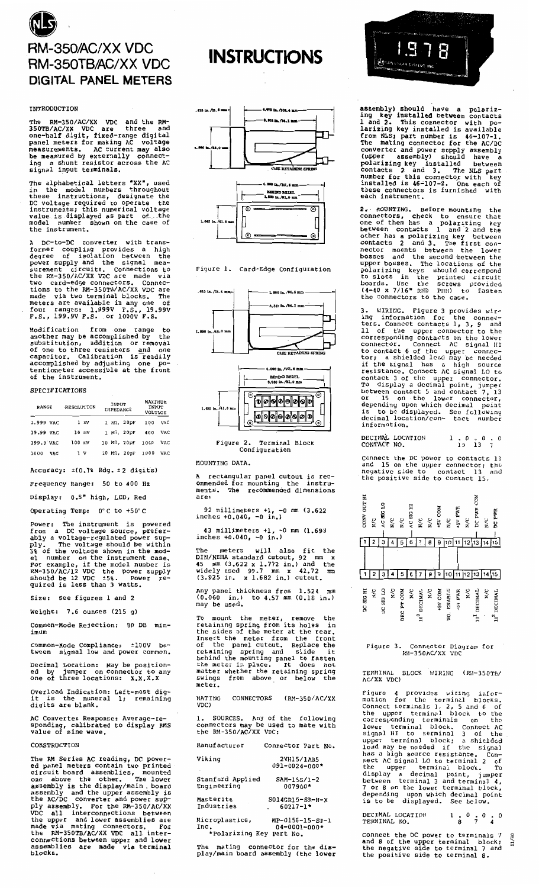

## **TNTRODUCTION**

The RM-350/AC/XX VDC and the RM-350TB/AC/XX VDC are three and<br>one-half digit, fixed-range digital<br>panel meters for making AC voltage<br>measurements. AC current may also<br>be measured by externally connect-<br>ing a shunt resistor

The alphabetical letters "XX", used<br>in the model numbers throughout<br>these instructions, designate the<br>DC voltage required to operate the<br>instruments; this numerical voltage<br>value is displayed as part of the<br>model number sh

A DC-to-DC converter with trans-<br>former coupling provides a high<br>degree of isolation between the<br>power supply and the signal mea-<br>surement circuits. Connections to<br>the RM-350/AC/XX VDC are made via<br>two card-edge connectors

from modification from one range to<br>another may be accomplished by the<br>substitution, addition or removal<br>of one to three resistors and one<br>capacitor. Calibration is readily<br>accomplished by adjusting one po-<br>tentiometer accessib Modification one range t٥

## **SPECIFICATIONS**

| <b>RANGE</b> |     | RESOLUTION |       | INPUT<br>IMPEDANCE |             | <b>MAXIMUM</b><br>INPUT<br><b>VOLTAGE</b> |      |
|--------------|-----|------------|-------|--------------------|-------------|-------------------------------------------|------|
| 1.999 VAC    |     |            | 1 mV  |                    | 1 MD, 20pF  | 100                                       | VAC. |
| 19.99 VAC    |     |            | 10 mV |                    | 1 MG, 20pF  | 400                                       | VAC  |
| 199.9 VAC    |     | $100$ mV   |       |                    | 10 MΩ, 20pF | 1000                                      | VAC. |
| 1000         | VAC |            | ı v   |                    | 10 MR, 20pF | 1000                                      | VAC  |

Accuracy:  $\pm(0.78 \text{ Rdq}, \pm 2 \text{ digits})$ 

Frequency Range: 50 to 400 Hz

Display: 0.5" high, LED, Red

Operating Temp: 0°C to +50°C

Power: The instrument is powered<br>from a DC voltage source, preferis powered from a DC voltage source, prefer-<br>ably a voltage-regulated power sup-<br>ply. The voltage should be within<br>5% of the voltage shown in the mod-<br>el number on the instrument case.<br>For example, if the model number is<br>RM-350/AC/12

Size: See figures 1 and 2

Weight:  $7.6$  ounces  $(215 \text{ g})$ 

Common-Mode Rejection: 80 DB minimum

Common-Mode Compliance: ±100V be-<br>tween signal low and power common.

Decimal Location: May be position-<br>ed by jumper on connector to any<br>one of three locations: X.X.X.X

Overload Indication: Left-most dig-<br>it is the numeral 1; remaining<br>digits are blank. remaining

AC Converter Response: Average-re-<br>sponding, calibrated to display RMS<br>value of sine wave.

**CONSTRUCTION** 

The RM Series AC reading, DC power-<br>ed panel meters contain two printed<br>circuit board assemblies, mounted<br>one above the other. The lower<br>assembly is the display/main, board<br>assembly and the upper assembly is<br>the AC/DC conv







Figure 1. Card-Edge Configuration



െ

MOUNTING DATA.

A rectangular panel cutout is rec-<br>ommended for mounting the instru-<br>ments. The recommended dimensions

92 millimeters  $+1$ ,  $-0$  mm (3.622 inches  $+0.040$ ,  $-0$  in.)

43 millimeters +1, -<br>inches +0.040, -0 in.)  $-0$  mm  $(1.693)$ 

The meters will also fit t<br>DIN/NEHA standard cutout, 92 mm<br>45 mm (3.622 x 1.772 in.) and twidely used 99.7 mm x 42.72<br>(3.925 in. x 1.682 in.) cutout. the 92 mm x<br>and the

panel thickness from 1.524 mm<br>60 in.) to 4.57 mm (0.18 in.)  $(0.060)$  in.)<br>may be used.

To mount the meter, remove the<br>retaining spring from its holes in<br>the sides of the meter at the rear.<br>Insert the meter from the front<br>of the panel cutout. Replace the<br>retaining spring and slide it<br>behind the mounting panel meter.

CONNECTORS (RM-350/AC/XX MATING vdC)

1. SOURCES. Any of the following<br>connectors may be used to mate with<br>the RM-350/AC/XX VDC:

| Manufacturer                    | Connector Part No.                    |
|---------------------------------|---------------------------------------|
| Viking                          | 2VH15/1AB5<br>$091 - 0024 - 000*$     |
|                                 |                                       |
| Stanford Applied<br>Engineering | SAM-15S/1-2<br>007900*                |
| Masterite                       | $SO14GR15-SR-H-X$                     |
| Industries                      | $60217 - 1*$                          |
| Microplastics,<br>Inc.          | MP-0156-15-SP-1<br>$04 - 0001 - 000*$ |

The mating connector for the dis-<br>play/main board assembly (the lower

\*Polarizing Key Part No.

 $1.97R$ 

assembly) should have a polariz-<br>ing key installed between contacts<br>1 and 2. This connector with po-<br>larizing key installed is available<br>from NLS; part number is 46-107-1.<br>The mating connector for the AC/DC The mating connector for the  $\Lambda C/DC$ <br>converter and power supply assembly<br>(upper assembly) should have a<br>polarizing key installed between<br>contacts 2 and 3. The NLS part<br>number for this connector with key<br>installed is  $46-1$ 

each instrument.<br>
2. MOUNTING. Before mounting the<br>
connectors, check to ensure that<br>
one of them has a polarizing key<br>
between contacts 1 and 2 and the<br>
contacts 1 and 2 and the<br>
contacts 1 and 2 and the<br>
contacts 1 and 2 between contacts 1 and 2 and the<br>other has a polarizing key between<br>contacts 2 and 3. The first con-<br>nector mounts between the lower<br>bosses and the second between the<br>upper bosses. The locations of the<br>polarizing keys shou

In connectors to the case.<br>
3. WIRING. Figure 3 provides wir-<br>
ing information for the connec-<br>
tors. Connect contacts 1, 3, 9 and<br>
11 of the upper connector to the<br>
corresponding contacts on the lower<br>
connector. Connect information.

DECIMAL LOCATION<br>CONTACT NO.  $\begin{array}{cccccc} 1 & . & 0 & . & 0 & . & 0 \\ & 15 & 13 & 7 & & \end{array}$ 

Connect the DC power to contacts 13<br>and 15 on the upper connector; the<br>negative side to contact 13 and negative side to contact 15.

| CONV OUT HI | $_{\rm N/C}$  | AC SIG LO | $\frac{C}{R}$ | N/C        | AC SIG HI     | N/C                     | $_{\rm N}^{\rm C}$ | HOD AS+ | N/C        | +5V PWR | N/C               | <b>COM</b><br>DC PWR      | N/C          | DC PWR                  |
|-------------|---------------|-----------|---------------|------------|---------------|-------------------------|--------------------|---------|------------|---------|-------------------|---------------------------|--------------|-------------------------|
|             |               | З         |               | 5          | 6             |                         | 8                  | 9       |            |         | 2                 | 13 14                     |              | 115 I                   |
|             |               |           |               |            |               |                         |                    |         |            |         |                   |                           |              |                         |
|             |               | 3         |               |            | 6             |                         | 8                  | 9       | 10         |         |                   | 13                        | 14           | 15                      |
| DC SIG HI   | $\frac{1}{2}$ | DC SIG LO | N/C           | DEC PT COM | $\frac{1}{2}$ | 10 <sup>0</sup> DECIMAL | N/C                | HOD AS+ | NO. ENABLE | HAH AS+ | $_{\mathrm{N/C}}$ | DECIMAL<br>$\frac{1}{10}$ | $_{\rm N/C}$ | 10 <sup>2</sup> DECIMAL |

Figure 3. Connector Diagram for<br>RM-350AC/XX VDC

BLOCK WIRING (RM-350TB/ TERMINAL AC/XX VDC)

Figure 4 provides wiring infor-<br>mation for the terminal blocks.<br>Connect terminals 1, 2, 5 and 6 of<br>the upper terminal block to the<br>corresponding terminals on the<br>lower terminal block. Connect AC<br>signal HI to terminal 3 of nect AC sigman av to ------<br>the upper terminal block. To<br>display a decimal point, jumper<br>between terminal 3 and terminal 4,<br>7 or 8 on the lower terminal block,<br>depending upon which decimal point<br>is to be displayed. See bel

DECIMAL LOCATION  $\frac{1}{8}$   $\frac{0}{7}$   $\frac{0}{4}$   $\frac{0}{1}$ TERMINAL NO.

Connect the DC power to terminals 7<br>and 8 of the upper terminal block;<br>the negative side to terminal 7 and<br>the positive side to terminal 8.  $11/80$